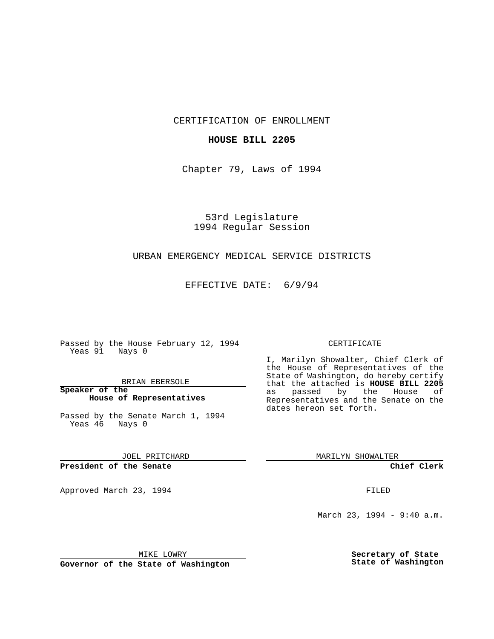CERTIFICATION OF ENROLLMENT

## **HOUSE BILL 2205**

Chapter 79, Laws of 1994

53rd Legislature 1994 Regular Session

## URBAN EMERGENCY MEDICAL SERVICE DISTRICTS

EFFECTIVE DATE: 6/9/94

Passed by the House February 12, 1994 Yeas 91 Nays 0

BRIAN EBERSOLE

**Speaker of the House of Representatives**

Passed by the Senate March 1, 1994 Yeas 46 Nays 0

JOEL PRITCHARD

**President of the Senate**

Approved March 23, 1994 **FILED** 

## CERTIFICATE

I, Marilyn Showalter, Chief Clerk of the House of Representatives of the State of Washington, do hereby certify that the attached is **HOUSE BILL 2205** as passed by the House of Representatives and the Senate on the dates hereon set forth.

MARILYN SHOWALTER

**Chief Clerk**

March 23, 1994 - 9:40 a.m.

MIKE LOWRY

**Governor of the State of Washington**

**Secretary of State State of Washington**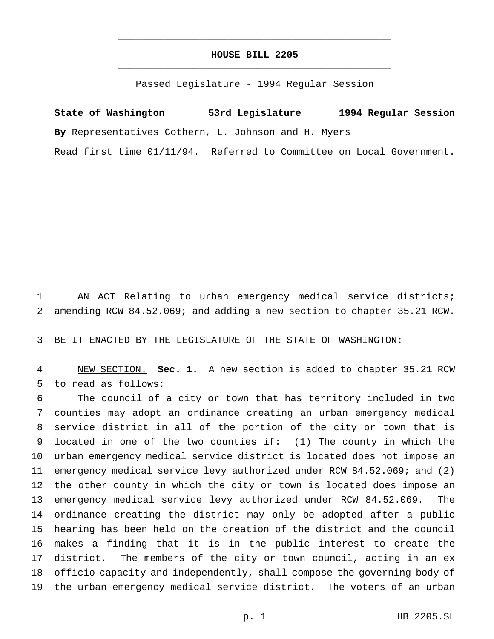## **HOUSE BILL 2205** \_\_\_\_\_\_\_\_\_\_\_\_\_\_\_\_\_\_\_\_\_\_\_\_\_\_\_\_\_\_\_\_\_\_\_\_\_\_\_\_\_\_\_\_\_\_\_

\_\_\_\_\_\_\_\_\_\_\_\_\_\_\_\_\_\_\_\_\_\_\_\_\_\_\_\_\_\_\_\_\_\_\_\_\_\_\_\_\_\_\_\_\_\_\_

Passed Legislature - 1994 Regular Session

**State of Washington 53rd Legislature 1994 Regular Session By** Representatives Cothern, L. Johnson and H. Myers Read first time 01/11/94. Referred to Committee on Local Government.

 AN ACT Relating to urban emergency medical service districts; amending RCW 84.52.069; and adding a new section to chapter 35.21 RCW.

BE IT ENACTED BY THE LEGISLATURE OF THE STATE OF WASHINGTON:

 NEW SECTION. **Sec. 1.** A new section is added to chapter 35.21 RCW to read as follows:

 The council of a city or town that has territory included in two counties may adopt an ordinance creating an urban emergency medical service district in all of the portion of the city or town that is located in one of the two counties if: (1) The county in which the urban emergency medical service district is located does not impose an emergency medical service levy authorized under RCW 84.52.069; and (2) the other county in which the city or town is located does impose an emergency medical service levy authorized under RCW 84.52.069. The ordinance creating the district may only be adopted after a public hearing has been held on the creation of the district and the council makes a finding that it is in the public interest to create the district. The members of the city or town council, acting in an ex officio capacity and independently, shall compose the governing body of the urban emergency medical service district. The voters of an urban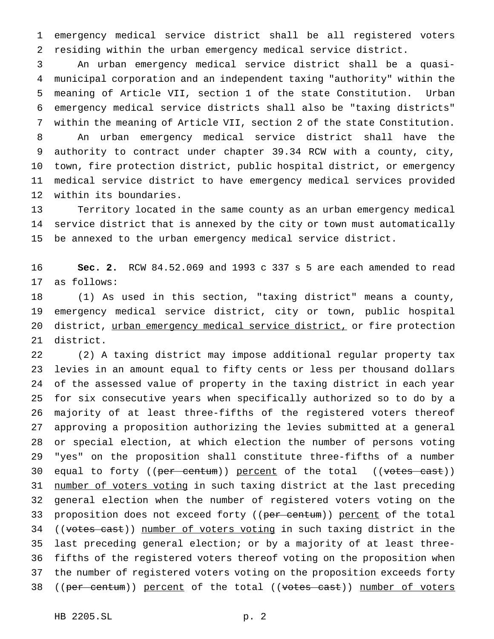emergency medical service district shall be all registered voters residing within the urban emergency medical service district.

 An urban emergency medical service district shall be a quasi- municipal corporation and an independent taxing "authority" within the meaning of Article VII, section 1 of the state Constitution. Urban emergency medical service districts shall also be "taxing districts" within the meaning of Article VII, section 2 of the state Constitution. An urban emergency medical service district shall have the authority to contract under chapter 39.34 RCW with a county, city, town, fire protection district, public hospital district, or emergency medical service district to have emergency medical services provided within its boundaries.

 Territory located in the same county as an urban emergency medical service district that is annexed by the city or town must automatically be annexed to the urban emergency medical service district.

 **Sec. 2.** RCW 84.52.069 and 1993 c 337 s 5 are each amended to read as follows:

 (1) As used in this section, "taxing district" means a county, emergency medical service district, city or town, public hospital 20 district, urban emergency medical service district, or fire protection district.

 (2) A taxing district may impose additional regular property tax levies in an amount equal to fifty cents or less per thousand dollars of the assessed value of property in the taxing district in each year for six consecutive years when specifically authorized so to do by a majority of at least three-fifths of the registered voters thereof approving a proposition authorizing the levies submitted at a general or special election, at which election the number of persons voting "yes" on the proposition shall constitute three-fifths of a number 30 equal to forty ((per centum)) percent of the total ((votes cast)) 31 number of voters voting in such taxing district at the last preceding general election when the number of registered voters voting on the 33 proposition does not exceed forty ((per centum)) percent of the total 34 ((votes cast)) number of voters voting in such taxing district in the last preceding general election; or by a majority of at least three- fifths of the registered voters thereof voting on the proposition when the number of registered voters voting on the proposition exceeds forty 38 ((per centum)) percent of the total ((votes cast)) number of voters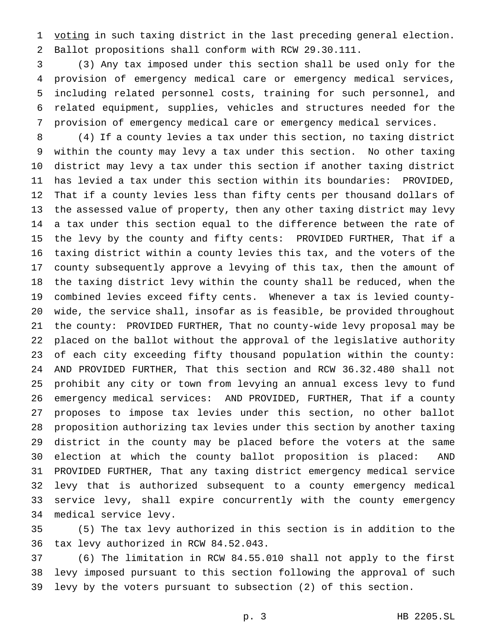voting in such taxing district in the last preceding general election. Ballot propositions shall conform with RCW 29.30.111.

 (3) Any tax imposed under this section shall be used only for the provision of emergency medical care or emergency medical services, including related personnel costs, training for such personnel, and related equipment, supplies, vehicles and structures needed for the provision of emergency medical care or emergency medical services.

 (4) If a county levies a tax under this section, no taxing district within the county may levy a tax under this section. No other taxing district may levy a tax under this section if another taxing district has levied a tax under this section within its boundaries: PROVIDED, That if a county levies less than fifty cents per thousand dollars of the assessed value of property, then any other taxing district may levy a tax under this section equal to the difference between the rate of the levy by the county and fifty cents: PROVIDED FURTHER, That if a taxing district within a county levies this tax, and the voters of the county subsequently approve a levying of this tax, then the amount of the taxing district levy within the county shall be reduced, when the combined levies exceed fifty cents. Whenever a tax is levied county- wide, the service shall, insofar as is feasible, be provided throughout the county: PROVIDED FURTHER, That no county-wide levy proposal may be placed on the ballot without the approval of the legislative authority of each city exceeding fifty thousand population within the county: AND PROVIDED FURTHER, That this section and RCW 36.32.480 shall not prohibit any city or town from levying an annual excess levy to fund emergency medical services: AND PROVIDED, FURTHER, That if a county proposes to impose tax levies under this section, no other ballot proposition authorizing tax levies under this section by another taxing district in the county may be placed before the voters at the same election at which the county ballot proposition is placed: AND PROVIDED FURTHER, That any taxing district emergency medical service levy that is authorized subsequent to a county emergency medical service levy, shall expire concurrently with the county emergency medical service levy.

 (5) The tax levy authorized in this section is in addition to the tax levy authorized in RCW 84.52.043.

 (6) The limitation in RCW 84.55.010 shall not apply to the first levy imposed pursuant to this section following the approval of such levy by the voters pursuant to subsection (2) of this section.